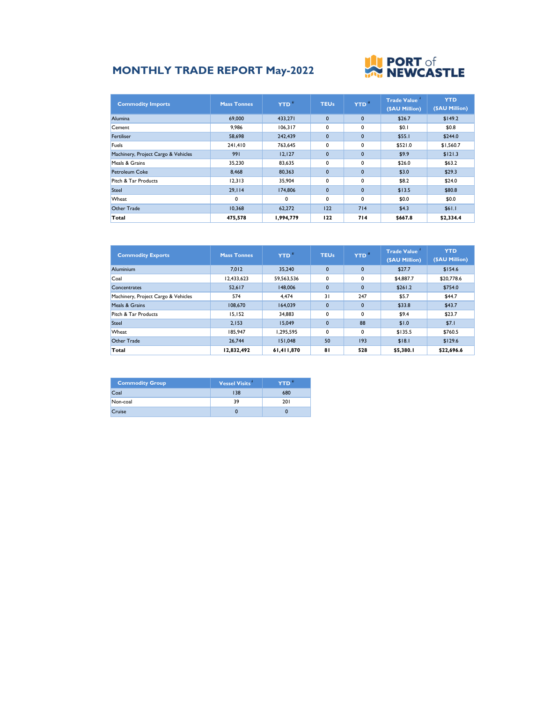## **MONTHLY TRADE REPORT May-2022**



| <b>Commodity Imports</b>            | <b>Mass Tonnes</b> | <b>YTD</b> <sup>#</sup> | <b>TEUs</b>  | YTD <sup>®</sup> | <b>Trade Value</b><br>(\$AU Million) | <b>YTD</b><br>(\$AU Million) |
|-------------------------------------|--------------------|-------------------------|--------------|------------------|--------------------------------------|------------------------------|
| <b>Alumina</b>                      | 69,000             | 433.271                 | $\mathbf{0}$ | $\mathbf{0}$     | \$26.7                               | \$149.2                      |
| Cement                              | 9,986              | 106,317                 | 0            | 0                | \$0.1                                | \$0.8                        |
| Fertiliser                          | 58,698             | 242.439                 | $\mathbf{0}$ | $\mathbf{0}$     | \$55.1                               | \$244.0                      |
| Fuels                               | 241.410            | 763.645                 | $\mathbf{0}$ | 0                | \$521.0                              | \$1,560.7                    |
| Machinery, Project Cargo & Vehicles | 991                | 12, 127                 | $\mathbf{0}$ | $\mathbf{0}$     | \$9.9                                | \$121.3                      |
| Meals & Grains                      | 35,230             | 83,635                  | $\mathbf{0}$ | 0                | \$26.0                               | \$63.2                       |
| Petroleum Coke                      | 8.468              | 80.363                  | $\mathbf{0}$ | $\mathbf{0}$     | \$3.0                                | \$29.3                       |
| Pitch & Tar Products                | 12.313             | 35.904                  | $\mathbf{0}$ | $\mathbf{0}$     | \$8.2                                | \$24.0                       |
| Steel                               | 29,114             | 174,806                 | $\mathbf{0}$ | $\mathbf{0}$     | \$13.5                               | \$80.8                       |
| Wheat                               | 0                  | 0                       | $\mathbf{0}$ | 0                | \$0.0                                | \$0.0                        |
| Other Trade                         | 10.368             | 62,272                  | 122          | 714              | \$4.3                                | \$61.1                       |
| Total                               | 475,578            | 1,994,779               | 122          | 714              | \$667.8                              | \$2,334.4                    |

| <b>Commodity Exports</b>            | <b>Mass Tonnes</b> | YTD <sup>#</sup> | <b>TEUs</b>  | YTD <sup>"</sup> | <b>Trade Value</b><br>(\$AU Million) | <b>YTD</b><br>(\$AU Million) |
|-------------------------------------|--------------------|------------------|--------------|------------------|--------------------------------------|------------------------------|
| <b>Aluminium</b>                    | 7.012              | 35.240           | $\Omega$     | $\mathbf{0}$     | \$27.7                               | \$154.6                      |
| Coal                                | 12,433,623         | 59,563,536       | $\mathbf{0}$ | 0                | \$4,887.7                            | \$20,778.6                   |
| Concentrates                        | 52.617             | 148,006          | $\Omega$     | $\mathbf{0}$     | \$261.2                              | \$754.0                      |
| Machinery, Project Cargo & Vehicles | 574                | 4.474            | 31           | 247              | \$5.7                                | \$44.7                       |
| Meals & Grains                      | 108,670            | 164.039          | $\mathbf 0$  | $\mathbf{0}$     | \$33.8                               | \$43.7                       |
| Pitch & Tar Products                | 15,152             | 34,883           | $\Omega$     | 0                | \$9.4                                | \$23.7                       |
| Steel                               | 2.153              | 15.049           | $\mathbf 0$  | 88               | \$1.0                                | \$7.1                        |
| Wheat                               | 185.947            | 1,295,595        | $\mathbf{0}$ | 0                | \$135.5                              | \$760.5                      |
| <b>Other Trade</b>                  | 26.744             | 151.048          | 50           | 193              | \$18.1                               | \$129.6                      |
| Total                               | 12,832,492         | 61,411,870       | 81           | 528              | \$5,380.I                            | \$22,696.6                   |

| <b>Commodity Group</b> | Vessel Visits | YTD" |
|------------------------|---------------|------|
| Coal                   | 138           | 680  |
| Non-coal               | 39            | 201  |
| Cruise                 |               |      |